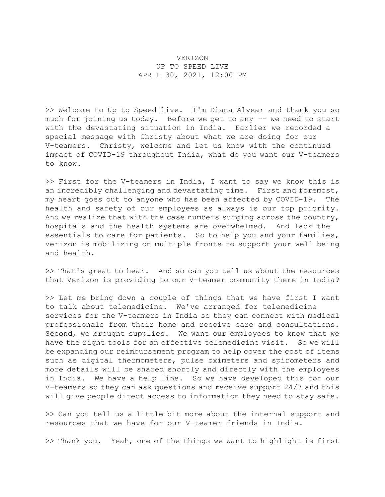## VERIZON UP TO SPEED LIVE APRIL 30, 2021, 12:00 PM

>> Welcome to Up to Speed live. I'm Diana Alvear and thank you so much for joining us today. Before we get to any -- we need to start with the devastating situation in India. Earlier we recorded a special message with Christy about what we are doing for our V-teamers. Christy, welcome and let us know with the continued impact of COVID-19 throughout India, what do you want our V-teamers to know.

>> First for the V-teamers in India, I want to say we know this is an incredibly challenging and devastating time. First and foremost, my heart goes out to anyone who has been affected by COVID-19. The health and safety of our employees as always is our top priority. And we realize that with the case numbers surging across the country, hospitals and the health systems are overwhelmed. And lack the essentials to care for patients. So to help you and your families, Verizon is mobilizing on multiple fronts to support your well being and health.

>> That's great to hear. And so can you tell us about the resources that Verizon is providing to our V-teamer community there in India?

>> Let me bring down a couple of things that we have first I want to talk about telemedicine. We've arranged for telemedicine services for the V-teamers in India so they can connect with medical professionals from their home and receive care and consultations. Second, we brought supplies. We want our employees to know that we have the right tools for an effective telemedicine visit. So we will be expanding our reimbursement program to help cover the cost of items such as digital thermometers, pulse oximeters and spirometers and more details will be shared shortly and directly with the employees in India. We have a help line. So we have developed this for our V-teamers so they can ask questions and receive support 24/7 and this will give people direct access to information they need to stay safe.

>> Can you tell us a little bit more about the internal support and resources that we have for our V-teamer friends in India.

>> Thank you. Yeah, one of the things we want to highlight is first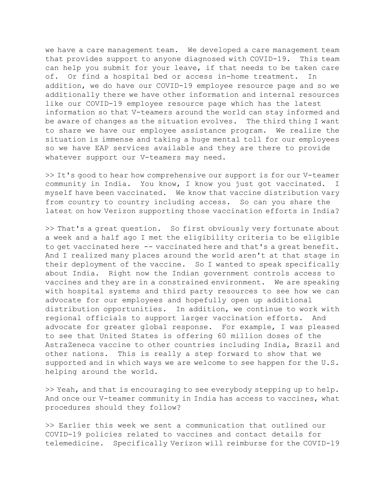we have a care management team. We developed a care management team that provides support to anyone diagnosed with COVID-19. This team can help you submit for your leave, if that needs to be taken care of. Or find a hospital bed or access in-home treatment. In addition, we do have our COVID-19 employee resource page and so we additionally there we have other information and internal resources like our COVID-19 employee resource page which has the latest information so that V-teamers around the world can stay informed and be aware of changes as the situation evolves. The third thing I want to share we have our employee assistance program. We realize the situation is immense and taking a huge mental toll for our employees so we have EAP services available and they are there to provide whatever support our V-teamers may need.

>> It's good to hear how comprehensive our support is for our V-teamer community in India. You know, I know you just got vaccinated. I myself have been vaccinated. We know that vaccine distribution vary from country to country including access. So can you share the latest on how Verizon supporting those vaccination efforts in India?

>> That's a great question. So first obviously very fortunate about a week and a half ago I met the eligibility criteria to be eligible to get vaccinated here -- vaccinated here and that's a great benefit. And I realized many places around the world aren't at that stage in their deployment of the vaccine. So I wanted to speak specifically about India. Right now the Indian government controls access to vaccines and they are in a constrained environment. We are speaking with hospital systems and third party resources to see how we can advocate for our employees and hopefully open up additional distribution opportunities. In addition, we continue to work with regional officials to support larger vaccination efforts. And advocate for greater global response. For example, I was pleased to see that United States is offering 60 million doses of the AstraZeneca vaccine to other countries including India, Brazil and other nations. This is really a step forward to show that we supported and in which ways we are welcome to see happen for the U.S. helping around the world.

>> Yeah, and that is encouraging to see everybody stepping up to help. And once our V-teamer community in India has access to vaccines, what procedures should they follow?

>> Earlier this week we sent a communication that outlined our COVID-19 policies related to vaccines and contact details for telemedicine. Specifically Verizon will reimburse for the COVID-19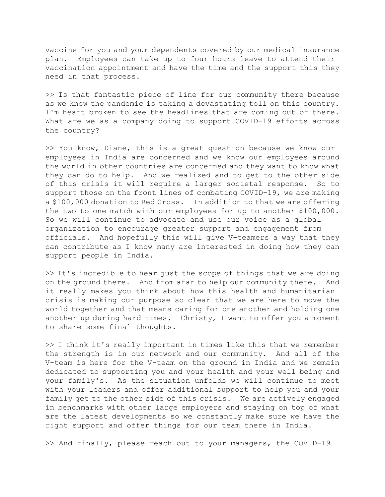vaccine for you and your dependents covered by our medical insurance plan. Employees can take up to four hours leave to attend their vaccination appointment and have the time and the support this they need in that process.

>> Is that fantastic piece of line for our community there because as we know the pandemic is taking a devastating toll on this country. I'm heart broken to see the headlines that are coming out of there. What are we as a company doing to support COVID-19 efforts across the country?

>> You know, Diane, this is a great question because we know our employees in India are concerned and we know our employees around the world in other countries are concerned and they want to know what they can do to help. And we realized and to get to the other side of this crisis it will require a larger societal response. So to support those on the front lines of combating COVID-19, we are making a \$100,000 donation to Red Cross. In addition to that we are offering the two to one match with our employees for up to another \$100,000. So we will continue to advocate and use our voice as a global organization to encourage greater support and engagement from officials. And hopefully this will give V-teamers a way that they can contribute as I know many are interested in doing how they can support people in India.

>> It's incredible to hear just the scope of things that we are doing on the ground there. And from afar to help our community there. And it really makes you think about how this health and humanitarian crisis is making our purpose so clear that we are here to move the world together and that means caring for one another and holding one another up during hard times. Christy, I want to offer you a moment to share some final thoughts.

>> I think it's really important in times like this that we remember the strength is in our network and our community. And all of the V-team is here for the V-team on the ground in India and we remain dedicated to supporting you and your health and your well being and your family's. As the situation unfolds we will continue to meet with your leaders and offer additional support to help you and your family get to the other side of this crisis. We are actively engaged in benchmarks with other large employers and staying on top of what are the latest developments so we constantly make sure we have the right support and offer things for our team there in India.

>> And finally, please reach out to your managers, the COVID-19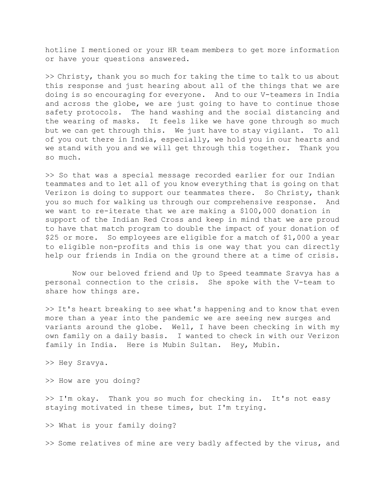hotline I mentioned or your HR team members to get more information or have your questions answered.

>> Christy, thank you so much for taking the time to talk to us about this response and just hearing about all of the things that we are doing is so encouraging for everyone. And to our V-teamers in India and across the globe, we are just going to have to continue those safety protocols. The hand washing and the social distancing and the wearing of masks. It feels like we have gone through so much but we can get through this. We just have to stay vigilant. To all of you out there in India, especially, we hold you in our hearts and we stand with you and we will get through this together. Thank you so much.

>> So that was a special message recorded earlier for our Indian teammates and to let all of you know everything that is going on that Verizon is doing to support our teammates there. So Christy, thank you so much for walking us through our comprehensive response. And we want to re-iterate that we are making a \$100,000 donation in support of the Indian Red Cross and keep in mind that we are proud to have that match program to double the impact of your donation of \$25 or more. So employees are eligible for a match of \$1,000 a year to eligible non-profits and this is one way that you can directly help our friends in India on the ground there at a time of crisis.

 Now our beloved friend and Up to Speed teammate Sravya has a personal connection to the crisis. She spoke with the V-team to share how things are.

>> It's heart breaking to see what's happening and to know that even more than a year into the pandemic we are seeing new surges and variants around the globe. Well, I have been checking in with my own family on a daily basis. I wanted to check in with our Verizon family in India. Here is Mubin Sultan. Hey, Mubin.

>> Hey Sravya.

>> How are you doing?

>> I'm okay. Thank you so much for checking in. It's not easy staying motivated in these times, but I'm trying.

>> What is your family doing?

>> Some relatives of mine are very badly affected by the virus, and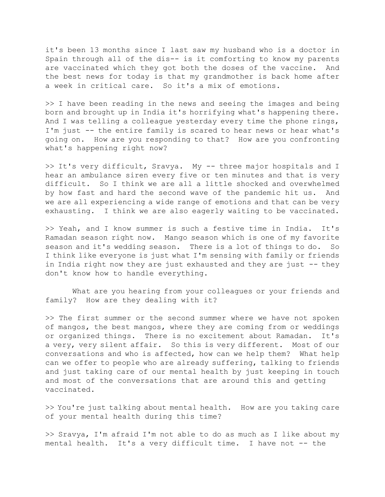it's been 13 months since I last saw my husband who is a doctor in Spain through all of the dis-- is it comforting to know my parents are vaccinated which they got both the doses of the vaccine. And the best news for today is that my grandmother is back home after a week in critical care. So it's a mix of emotions.

>> I have been reading in the news and seeing the images and being born and brought up in India it's horrifying what's happening there. And I was telling a colleague yesterday every time the phone rings, I'm just -- the entire family is scared to hear news or hear what's going on. How are you responding to that? How are you confronting what's happening right now?

>> It's very difficult, Sravya. My -- three major hospitals and I hear an ambulance siren every five or ten minutes and that is very difficult. So I think we are all a little shocked and overwhelmed by how fast and hard the second wave of the pandemic hit us. And we are all experiencing a wide range of emotions and that can be very exhausting. I think we are also eagerly waiting to be vaccinated.

>> Yeah, and I know summer is such a festive time in India. It's Ramadan season right now. Mango season which is one of my favorite season and it's wedding season. There is a lot of things to do. So I think like everyone is just what I'm sensing with family or friends in India right now they are just exhausted and they are just -- they don't know how to handle everything.

 What are you hearing from your colleagues or your friends and family? How are they dealing with it?

>> The first summer or the second summer where we have not spoken of mangos, the best mangos, where they are coming from or weddings or organized things. There is no excitement about Ramadan. It's a very, very silent affair. So this is very different. Most of our conversations and who is affected, how can we help them? What help can we offer to people who are already suffering, talking to friends and just taking care of our mental health by just keeping in touch and most of the conversations that are around this and getting vaccinated.

>> You're just talking about mental health. How are you taking care of your mental health during this time?

>> Sravya, I'm afraid I'm not able to do as much as I like about my mental health. It's a very difficult time. I have not -- the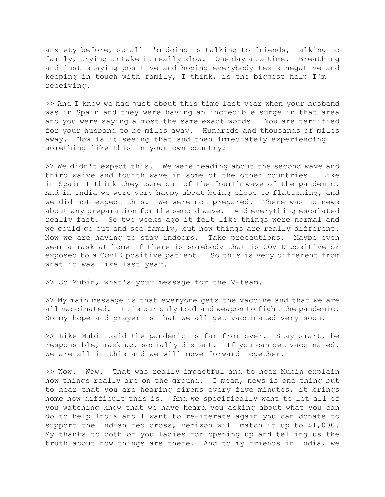anxiety before, so all I'm doing is talking to friends, talking to family, trying to take it really slow. One day at a time. Breathing and just staying positive and hoping everybody tests negative and keeping in touch with family, I think, is the biggest help I'm receiving.

>> And I know we had just about this time last year when your husband was in Spain and they were having an incredible surge in that area and you were saying almost the same exact words. You are terrified for your husband to be miles away. Hundreds and thousands of miles away. How is it seeing that and then immediately experiencing something like this in your own country?

>> We didn't expect this. We were reading about the second wave and third waive and fourth wave in some of the other countries. Like in Spain I think they came out of the fourth wave of the pandemic. And in India we were very happy about being close to flattening, and we did not expect this. We were not prepared. There was no news about any preparation for the second wave. And everything escalated really fast. So two weeks ago it felt like things were normal and we could go out and see family, but now things are really different. Now we are having to stay indoors. Take precautions. Maybe even wear a mask at home if there is somebody that is COVID positive or exposed to a COVID positive patient. So this is very different from what it was like last year.

>> So Mubin, what's your message for the V-team.

>> My main message is that everyone gets the vaccine and that we are all vaccinated. It is our only tool and weapon to fight the pandemic. So my hope and prayer is that we all get vaccinated very soon.

>> Like Mubin said the pandemic is far from over. Stay smart, be responsible, mask up, socially distant. If you can get vaccinated. We are all in this and we will move forward together.

>> Wow. Wow. That was really impactful and to hear Mubin explain how things really are on the ground. I mean, news is one thing but to hear that you are hearing sirens every five minutes, it brings home how difficult this is. And we specifically want to let all of you watching know that we have heard you asking about what you can do to help India and I want to re-iterate again you can donate to support the Indian red cross, Verizon will match it up to \$1,000. My thanks to both of you ladies for opening up and telling us the truth about how things are there. And to my friends in India, we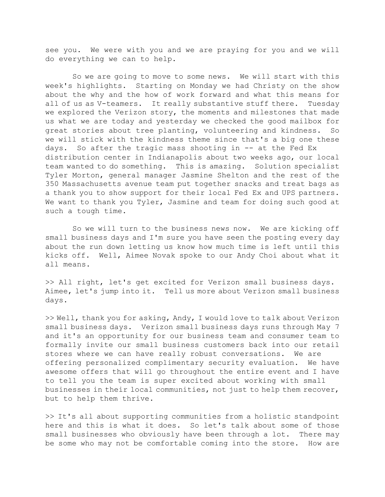see you. We were with you and we are praying for you and we will do everything we can to help.

 So we are going to move to some news. We will start with this week's highlights. Starting on Monday we had Christy on the show about the why and the how of work forward and what this means for all of us as V-teamers. It really substantive stuff there. Tuesday we explored the Verizon story, the moments and milestones that made us what we are today and yesterday we checked the good mailbox for great stories about tree planting, volunteering and kindness. So we will stick with the kindness theme since that's a big one these days. So after the tragic mass shooting in -- at the Fed Ex distribution center in Indianapolis about two weeks ago, our local team wanted to do something. This is amazing. Solution specialist Tyler Morton, general manager Jasmine Shelton and the rest of the 350 Massachusetts avenue team put together snacks and treat bags as a thank you to show support for their local Fed Ex and UPS partners. We want to thank you Tyler, Jasmine and team for doing such good at such a tough time.

 So we will turn to the business news now. We are kicking off small business days and I'm sure you have seen the posting every day about the run down letting us know how much time is left until this kicks off. Well, Aimee Novak spoke to our Andy Choi about what it all means.

>> All right, let's get excited for Verizon small business days. Aimee, let's jump into it. Tell us more about Verizon small business days.

>> Well, thank you for asking, Andy, I would love to talk about Verizon small business days. Verizon small business days runs through May 7 and it's an opportunity for our business team and consumer team to formally invite our small business customers back into our retail stores where we can have really robust conversations. We are offering personalized complimentary security evaluation. We have awesome offers that will go throughout the entire event and I have to tell you the team is super excited about working with small businesses in their local communities, not just to help them recover, but to help them thrive.

>> It's all about supporting communities from a holistic standpoint here and this is what it does. So let's talk about some of those small businesses who obviously have been through a lot. There may be some who may not be comfortable coming into the store. How are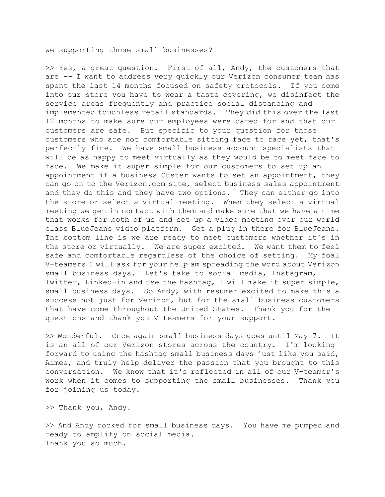we supporting those small businesses?

>> Yes, a great question. First of all, Andy, the customers that are -- I want to address very quickly our Verizon consumer team has spent the last 14 months focused on safety protocols. If you come into our store you have to wear a taste covering, we disinfect the service areas frequently and practice social distancing and implemented touchless retail standards. They did this over the last 12 months to make sure our employees were cared for and that our customers are safe. But specific to your question for those customers who are not comfortable sitting face to face yet, that's perfectly fine. We have small business account specialists that will be as happy to meet virtually as they would be to meet face to face. We make it super simple for our customers to set up an appointment if a business Custer wants to set an appointment, they can go on to the Verizon.com site, select business sales appointment and they do this and they have two options. They can either go into the store or select a virtual meeting. When they select a virtual meeting we get in contact with them and make sure that we have a time that works for both of us and set up a video meeting over our world class BlueJeans video platform. Get a plug in there for BlueJeans. The bottom line is we are ready to meet customers whether it's in the store or virtually. We are super excited. We want them to feel safe and comfortable regardless of the choice of setting. My foal V-teamers I will ask for your help am spreading the word about Verizon small business days. Let's take to social media, Instagram, Twitter, Linked-in and use the hashtag, I will make it super simple, small business days. So Andy, with resumer excited to make this a success not just for Verizon, but for the small business customers that have come throughout the United States. Thank you for the questions and thank you V-teamers for your support.

>> Wonderful. Once again small business days goes until May 7. It is an all of our Verizon stores across the country. I'm looking forward to using the hashtag small business days just like you said, Aimee, and truly help deliver the passion that you brought to this conversation. We know that it's reflected in all of our V-teamer's work when it comes to supporting the small businesses. Thank you for joining us today.

>> Thank you, Andy.

>> And Andy rocked for small business days. You have me pumped and ready to amplify on social media. Thank you so much.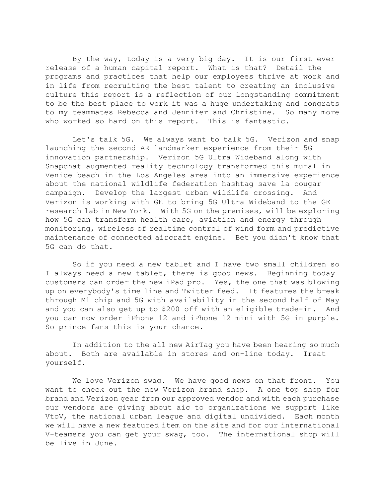By the way, today is a very big day. It is our first ever release of a human capital report. What is that? Detail the programs and practices that help our employees thrive at work and in life from recruiting the best talent to creating an inclusive culture this report is a reflection of our longstanding commitment to be the best place to work it was a huge undertaking and congrats to my teammates Rebecca and Jennifer and Christine. So many more who worked so hard on this report. This is fantastic.

 Let's talk 5G. We always want to talk 5G. Verizon and snap launching the second AR landmarker experience from their 5G innovation partnership. Verizon 5G Ultra Wideband along with Snapchat augmented reality technology transformed this mural in Venice beach in the Los Angeles area into an immersive experience about the national wildlife federation hashtag save la cougar campaign. Develop the largest urban wildlife crossing. And Verizon is working with GE to bring 5G Ultra Wideband to the GE research lab in New York. With 5G on the premises, will be exploring how 5G can transform health care, aviation and energy through monitoring, wireless of realtime control of wind form and predictive maintenance of connected aircraft engine. Bet you didn't know that 5G can do that.

 So if you need a new tablet and I have two small children so I always need a new tablet, there is good news. Beginning today customers can order the new iPad pro. Yes, the one that was blowing up on everybody's time line and Twitter feed. It features the break through M1 chip and 5G with availability in the second half of May and you can also get up to \$200 off with an eligible trade-in. And you can now order iPhone 12 and iPhone 12 mini with 5G in purple. So prince fans this is your chance.

 In addition to the all new AirTag you have been hearing so much about. Both are available in stores and on-line today. Treat yourself.

 We love Verizon swag. We have good news on that front. You want to check out the new Verizon brand shop. A one top shop for brand and Verizon gear from our approved vendor and with each purchase our vendors are giving about aic to organizations we support like VtoV, the national urban league and digital undivided. Each month we will have a new featured item on the site and for our international V-teamers you can get your swag, too. The international shop will be live in June.